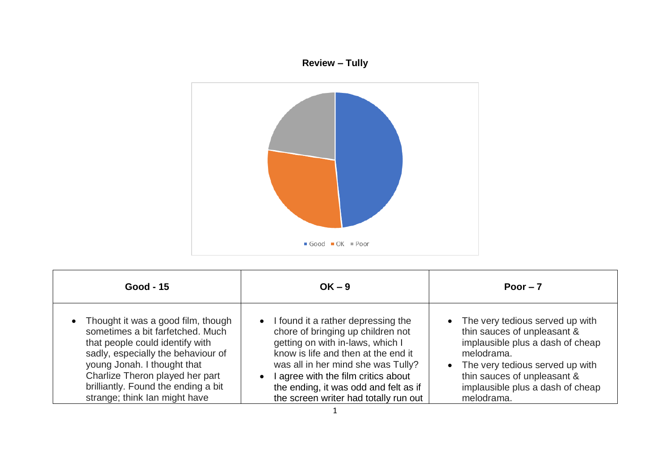## **Review – Tully**



| <b>Good - 15</b>                                                                                                                                                                                                                                                                            | $OK - 9$                                                                                                                                                                                                                                                                                                                         | Poor $-7$                                                                                                                                                                                                                                |
|---------------------------------------------------------------------------------------------------------------------------------------------------------------------------------------------------------------------------------------------------------------------------------------------|----------------------------------------------------------------------------------------------------------------------------------------------------------------------------------------------------------------------------------------------------------------------------------------------------------------------------------|------------------------------------------------------------------------------------------------------------------------------------------------------------------------------------------------------------------------------------------|
| • Thought it was a good film, though<br>sometimes a bit farfetched. Much<br>that people could identify with<br>sadly, especially the behaviour of<br>young Jonah. I thought that<br>Charlize Theron played her part<br>brilliantly. Found the ending a bit<br>strange; think Ian might have | • I found it a rather depressing the<br>chore of bringing up children not<br>getting on with in-laws, which I<br>know is life and then at the end it<br>was all in her mind she was Tully?<br>I agree with the film critics about<br>$\bullet$<br>the ending, it was odd and felt as if<br>the screen writer had totally run out | • The very tedious served up with<br>thin sauces of unpleasant &<br>implausible plus a dash of cheap<br>melodrama.<br>• The very tedious served up with<br>thin sauces of unpleasant &<br>implausible plus a dash of cheap<br>melodrama. |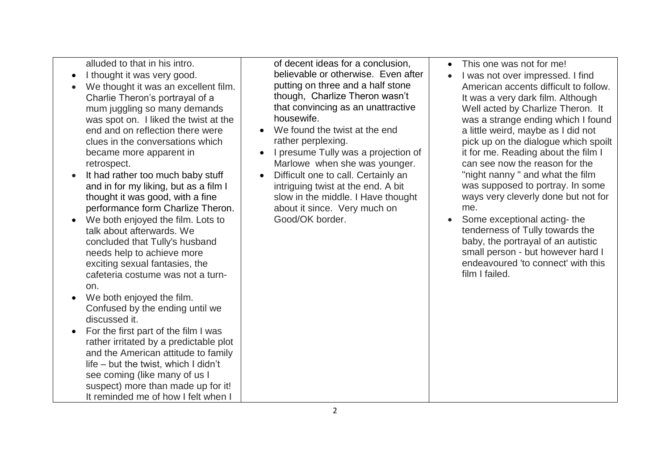alluded to that in his intro.

- I thought it was very good.
- We thought it was an excellent film. Charlie Theron's portrayal of a mum juggling so many demands was spot on. I liked the twist at the end and on reflection there were clues in the conversations which became more apparent in retrospect.
- It had rather too much baby stuff and in for my liking, but as a film I thought it was good, with a fine performance form Charlize Theron.
- We both enjoyed the film. Lots to talk about afterwards. We concluded that Tully's husband needs help to achieve more exciting sexual fantasies, the cafeteria costume was not a turnon.
- We both enjoyed the film. Confused by the ending until we discussed it.
- For the first part of the film I was rather irritated by a predictable plot and the American attitude to family life – but the twist, which I didn't see coming (like many of us I suspect) more than made up for it! It reminded me of how I felt when I

of decent ideas for a conclusion, believable or otherwise. Even after putting on three and a half stone though, Charlize Theron wasn't that convincing as an unattractive housewife.

- We found the twist at the end rather perplexing.
- I presume Tully was a projection of Marlowe when she was younger.
- Difficult one to call. Certainly an intriguing twist at the end. A bit slow in the middle. I Have thought about it since. Very much on Good/OK border.
- This one was not for me!
- I was not over impressed. I find American accents difficult to follow. It was a very dark film. Although Well acted by Charlize Theron. It was a strange ending which I found a little weird, maybe as I did not pick up on the dialogue which spoilt it for me. Reading about the film I can see now the reason for the "night nanny " and what the film was supposed to portray. In some ways very cleverly done but not for me.
- Some exceptional acting- the tenderness of Tully towards the baby, the portrayal of an autistic small person - but however hard I endeavoured 'to connect' with this film I failed.